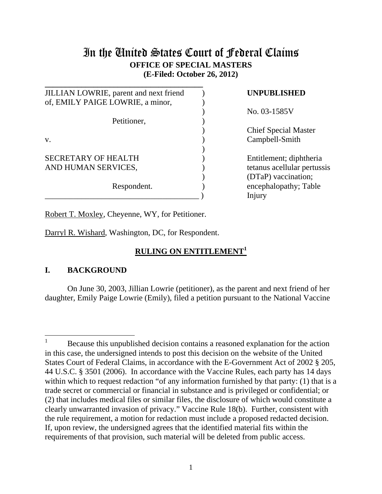# In the United States Court of Federal Claims **OFFICE OF SPECIAL MASTERS (E-Filed: October 26, 2012)**

**\_\_\_\_\_\_\_\_\_\_\_\_\_\_\_\_\_\_\_\_\_\_\_\_\_\_\_\_\_\_\_\_\_\_\_\_\_\_\_**  JILLIAN LOWRIE, parent and next friend ) **UNPUBLISHED** of, EMILY PAIGE LOWRIE, a minor,) Petitioner. v. Campbell-Smith  $)$ SECRETARY OF HEALTH 
(SECRETARY OF HEALTH
(SECRETARY OF HEALTH
) AND HUMAN SERVICES,  $\qquad \qquad$  (tetanus acellular pertussis Respondent. (a) encephalopathy; Table \_\_\_\_\_\_\_\_\_\_\_\_\_\_\_\_\_\_\_\_\_\_\_\_\_\_\_\_\_\_\_\_\_\_\_\_\_\_ ) Injury

) No. 03-1585V

**Chief Special Master** 

) (DTaP) vaccination;

Robert T. Moxley, Cheyenne, WY, for Petitioner.

Darryl R. Wishard, Washington, DC, for Respondent.

# **RULING ON ENTITLEMENT<sup>1</sup>**

# **I. BACKGROUND**

 On June 30, 2003, Jillian Lowrie (petitioner), as the parent and next friend of her daughter, Emily Paige Lowrie (Emily), filed a petition pursuant to the National Vaccine

 $\overline{a}$ <sup>1</sup> Because this unpublished decision contains a reasoned explanation for the action in this case, the undersigned intends to post this decision on the website of the United States Court of Federal Claims, in accordance with the E-Government Act of 2002 § 205, 44 U.S.C. § 3501 (2006). In accordance with the Vaccine Rules, each party has 14 days within which to request redaction "of any information furnished by that party: (1) that is a trade secret or commercial or financial in substance and is privileged or confidential; or (2) that includes medical files or similar files, the disclosure of which would constitute a clearly unwarranted invasion of privacy." Vaccine Rule 18(b). Further, consistent with the rule requirement, a motion for redaction must include a proposed redacted decision. If, upon review, the undersigned agrees that the identified material fits within the requirements of that provision, such material will be deleted from public access.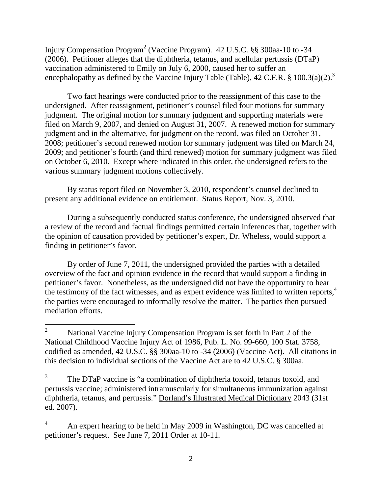Injury Compensation Program<sup>2</sup> (Vaccine Program). 42 U.S.C. §§ 300aa-10 to -34 (2006). Petitioner alleges that the diphtheria, tetanus, and acellular pertussis (DTaP) vaccination administered to Emily on July 6, 2000, caused her to suffer an encephalopathy as defined by the Vaccine Injury Table (Table), 42 C.F.R. § 100.3(a)(2).<sup>3</sup>

 Two fact hearings were conducted prior to the reassignment of this case to the undersigned. After reassignment, petitioner's counsel filed four motions for summary judgment. The original motion for summary judgment and supporting materials were filed on March 9, 2007, and denied on August 31, 2007. A renewed motion for summary judgment and in the alternative, for judgment on the record, was filed on October 31, 2008; petitioner's second renewed motion for summary judgment was filed on March 24, 2009; and petitioner's fourth (and third renewed) motion for summary judgment was filed on October 6, 2010. Except where indicated in this order, the undersigned refers to the various summary judgment motions collectively.

By status report filed on November 3, 2010, respondent's counsel declined to present any additional evidence on entitlement. Status Report, Nov. 3, 2010.

During a subsequently conducted status conference, the undersigned observed that a review of the record and factual findings permitted certain inferences that, together with the opinion of causation provided by petitioner's expert, Dr. Wheless, would support a finding in petitioner's favor.

By order of June 7, 2011, the undersigned provided the parties with a detailed overview of the fact and opinion evidence in the record that would support a finding in petitioner's favor. Nonetheless, as the undersigned did not have the opportunity to hear the testimony of the fact witnesses, and as expert evidence was limited to written reports, $4\overline{4}$ the parties were encouraged to informally resolve the matter. The parties then pursued mediation efforts.

 $\overline{a}$ 

4 An expert hearing to be held in May 2009 in Washington, DC was cancelled at petitioner's request. See June 7, 2011 Order at 10-11.

<sup>2</sup> National Vaccine Injury Compensation Program is set forth in Part 2 of the National Childhood Vaccine Injury Act of 1986, Pub. L. No. 99-660, 100 Stat. 3758, codified as amended, 42 U.S.C. §§ 300aa-10 to -34 (2006) (Vaccine Act). All citations in this decision to individual sections of the Vaccine Act are to 42 U.S.C. § 300aa.

<sup>3</sup> The DTaP vaccine is "a combination of diphtheria toxoid, tetanus toxoid, and pertussis vaccine; administered intramuscularly for simultaneous immunization against diphtheria, tetanus, and pertussis." Dorland's Illustrated Medical Dictionary 2043 (31st ed. 2007).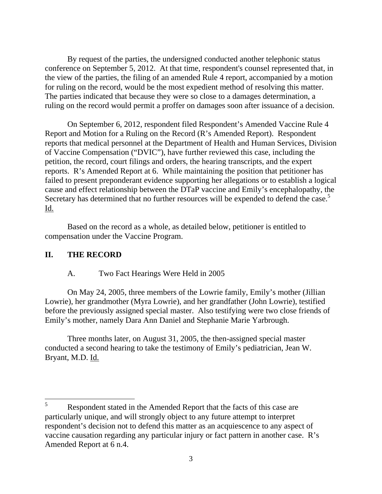By request of the parties, the undersigned conducted another telephonic status conference on September 5, 2012. At that time, respondent's counsel represented that, in the view of the parties, the filing of an amended Rule 4 report, accompanied by a motion for ruling on the record, would be the most expedient method of resolving this matter. The parties indicated that because they were so close to a damages determination, a ruling on the record would permit a proffer on damages soon after issuance of a decision.

 On September 6, 2012, respondent filed Respondent's Amended Vaccine Rule 4 Report and Motion for a Ruling on the Record (R's Amended Report). Respondent reports that medical personnel at the Department of Health and Human Services, Division of Vaccine Compensation ("DVIC"), have further reviewed this case, including the petition, the record, court filings and orders, the hearing transcripts, and the expert reports. R's Amended Report at 6. While maintaining the position that petitioner has failed to present preponderant evidence supporting her allegations or to establish a logical cause and effect relationship between the DTaP vaccine and Emily's encephalopathy, the Secretary has determined that no further resources will be expended to defend the case.<sup>5</sup> Id.

 Based on the record as a whole, as detailed below, petitioner is entitled to compensation under the Vaccine Program.

### **II. THE RECORD**

 $\overline{a}$ 

### A. Two Fact Hearings Were Held in 2005

On May 24, 2005, three members of the Lowrie family, Emily's mother (Jillian Lowrie), her grandmother (Myra Lowrie), and her grandfather (John Lowrie), testified before the previously assigned special master. Also testifying were two close friends of Emily's mother, namely Dara Ann Daniel and Stephanie Marie Yarbrough.

Three months later, on August 31, 2005, the then-assigned special master conducted a second hearing to take the testimony of Emily's pediatrician, Jean W. Bryant, M.D. Id.

<sup>5</sup> Respondent stated in the Amended Report that the facts of this case are particularly unique, and will strongly object to any future attempt to interpret respondent's decision not to defend this matter as an acquiescence to any aspect of vaccine causation regarding any particular injury or fact pattern in another case. R's Amended Report at 6 n.4.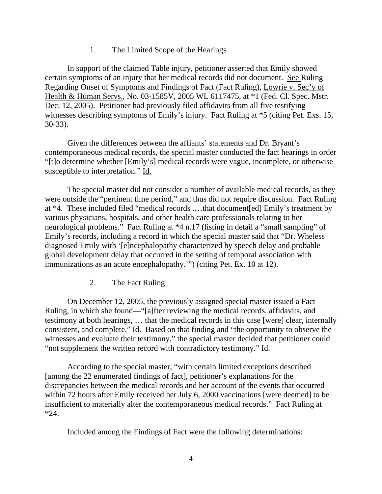## 1. The Limited Scope of the Hearings

In support of the claimed Table injury, petitioner asserted that Emily showed certain symptoms of an injury that her medical records did not document. See Ruling Regarding Onset of Symptoms and Findings of Fact (Fact Ruling), Lowrie v. Sec'y of Health & Human Servs., No. 03-1585V, 2005 WL 6117475, at \*1 (Fed. Cl. Spec. Mstr. Dec. 12, 2005). Petitioner had previously filed affidavits from all five testifying witnesses describing symptoms of Emily's injury. Fact Ruling at \*5 (citing Pet. Exs. 15, 30-33).

Given the differences between the affiants' statements and Dr. Bryant's contemporaneous medical records, the special master conducted the fact hearings in order "[t]o determine whether [Emily's] medical records were vague, incomplete, or otherwise susceptible to interpretation." Id.

 The special master did not consider a number of available medical records, as they were outside the "pertinent time period," and thus did not require discussion. Fact Ruling at \*4. These included filed "medical records .…that document[ed] Emily's treatment by various physicians, hospitals, and other health care professionals relating to her neurological problems." Fact Ruling at \*4 n.17 (listing in detail a "small sampling" of Emily's records, including a record in which the special master said that "Dr. Wheless diagnosed Emily with '[e]ncephalopathy characterized by speech delay and probable global development delay that occurred in the setting of temporal association with immunizations as an acute encephalopathy.'") (citing Pet. Ex. 10 at 12).

2. The Fact Ruling

On December 12, 2005, the previously assigned special master issued a Fact Ruling, in which she found––"[a]fter reviewing the medical records, affidavits, and testimony at both hearings, … that the medical records in this case [were] clear, internally consistent, and complete." Id. Based on that finding and "the opportunity to observe the witnesses and evaluate their testimony," the special master decided that petitioner could "not supplement the written record with contradictory testimony." Id.

According to the special master, "with certain limited exceptions described [among the 22 enumerated findings of fact], petitioner's explanations for the discrepancies between the medical records and her account of the events that occurred within 72 hours after Emily received her July 6, 2000 vaccinations [were deemed] to be insufficient to materially alter the contemporaneous medical records." Fact Ruling at  $*24.$ 

Included among the Findings of Fact were the following determinations: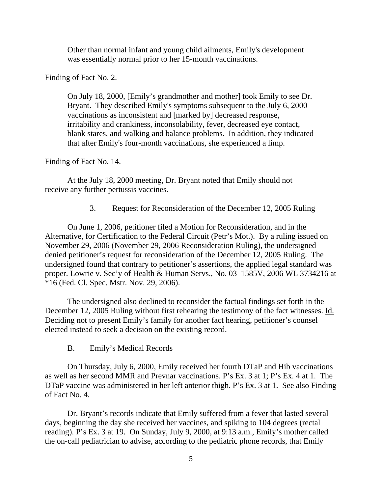Other than normal infant and young child ailments, Emily's development was essentially normal prior to her 15-month vaccinations.

Finding of Fact No. 2.

On July 18, 2000, [Emily's grandmother and mother] took Emily to see Dr. Bryant. They described Emily's symptoms subsequent to the July 6, 2000 vaccinations as inconsistent and [marked by] decreased response, irritability and crankiness, inconsolability, fever, decreased eye contact, blank stares, and walking and balance problems. In addition, they indicated that after Emily's four-month vaccinations, she experienced a limp.

Finding of Fact No. 14.

At the July 18, 2000 meeting, Dr. Bryant noted that Emily should not receive any further pertussis vaccines.

3. Request for Reconsideration of the December 12, 2005 Ruling

On June 1, 2006, petitioner filed a Motion for Reconsideration, and in the Alternative, for Certification to the Federal Circuit (Petr's Mot.). By a ruling issued on November 29, 2006 (November 29, 2006 Reconsideration Ruling), the undersigned denied petitioner's request for reconsideration of the December 12, 2005 Ruling. The undersigned found that contrary to petitioner's assertions, the applied legal standard was proper. Lowrie v. Sec'y of Health & Human Servs., No. 03–1585V, 2006 WL 3734216 at \*16 (Fed. Cl. Spec. Mstr. Nov. 29, 2006).

The undersigned also declined to reconsider the factual findings set forth in the December 12, 2005 Ruling without first rehearing the testimony of the fact witnesses. Id. Deciding not to present Emily's family for another fact hearing, petitioner's counsel elected instead to seek a decision on the existing record.

B. Emily's Medical Records

On Thursday, July 6, 2000, Emily received her fourth DTaP and Hib vaccinations as well as her second MMR and Prevnar vaccinations. P's Ex. 3 at 1; P's Ex. 4 at 1. The DTaP vaccine was administered in her left anterior thigh. P's Ex. 3 at 1. See also Finding of Fact No. 4.

Dr. Bryant's records indicate that Emily suffered from a fever that lasted several days, beginning the day she received her vaccines, and spiking to 104 degrees (rectal reading). P's Ex. 3 at 19. On Sunday, July 9, 2000, at 9:13 a.m., Emily's mother called the on-call pediatrician to advise, according to the pediatric phone records, that Emily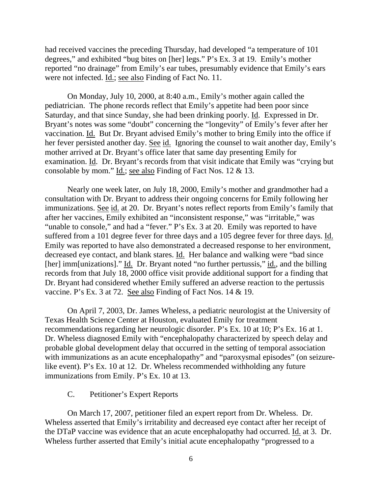had received vaccines the preceding Thursday, had developed "a temperature of 101 degrees," and exhibited "bug bites on [her] legs." P's Ex. 3 at 19. Emily's mother reported "no drainage" from Emily's ear tubes, presumably evidence that Emily's ears were not infected. <u>Id.</u>; <u>see also</u> Finding of Fact No. 11.

On Monday, July 10, 2000, at 8:40 a.m., Emily's mother again called the pediatrician. The phone records reflect that Emily's appetite had been poor since Saturday, and that since Sunday, she had been drinking poorly. Id. Expressed in Dr. Bryant's notes was some "doubt" concerning the "longevity" of Emily's fever after her vaccination. Id. But Dr. Bryant advised Emily's mother to bring Emily into the office if her fever persisted another day. See id. Ignoring the counsel to wait another day, Emily's mother arrived at Dr. Bryant's office later that same day presenting Emily for examination. Id. Dr. Bryant's records from that visit indicate that Emily was "crying but consolable by mom." Id.; see also Finding of Fact Nos. 12 & 13.

Nearly one week later, on July 18, 2000, Emily's mother and grandmother had a consultation with Dr. Bryant to address their ongoing concerns for Emily following her immunizations. See id. at 20. Dr. Bryant's notes reflect reports from Emily's family that after her vaccines, Emily exhibited an "inconsistent response," was "irritable," was "unable to console," and had a "fever." P's Ex. 3 at 20. Emily was reported to have suffered from a 101 degree fever for three days and a 105 degree fever for three days. Id. Emily was reported to have also demonstrated a decreased response to her environment, decreased eye contact, and blank stares. Id. Her balance and walking were "bad since [her] imm[unizations]." Id. Dr. Bryant noted "no further pertussis," id., and the billing records from that July 18, 2000 office visit provide additional support for a finding that Dr. Bryant had considered whether Emily suffered an adverse reaction to the pertussis vaccine. P's Ex. 3 at 72. See also Finding of Fact Nos. 14 & 19.

On April 7, 2003, Dr. James Wheless, a pediatric neurologist at the University of Texas Health Science Center at Houston, evaluated Emily for treatment recommendations regarding her neurologic disorder. P's Ex. 10 at 10; P's Ex. 16 at 1. Dr. Wheless diagnosed Emily with "encephalopathy characterized by speech delay and probable global development delay that occurred in the setting of temporal association with immunizations as an acute encephalopathy" and "paroxysmal episodes" (on seizurelike event). P's Ex. 10 at 12. Dr. Wheless recommended withholding any future immunizations from Emily. P's Ex. 10 at 13.

#### C. Petitioner's Expert Reports

On March 17, 2007, petitioner filed an expert report from Dr. Wheless. Dr. Wheless asserted that Emily's irritability and decreased eye contact after her receipt of the DTaP vaccine was evidence that an acute encephalopathy had occurred. Id. at 3. Dr. Wheless further asserted that Emily's initial acute encephalopathy "progressed to a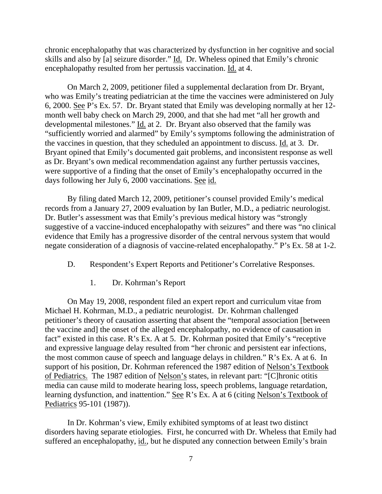chronic encephalopathy that was characterized by dysfunction in her cognitive and social skills and also by [a] seizure disorder." Id. Dr. Wheless opined that Emily's chronic encephalopathy resulted from her pertussis vaccination. Id. at 4.

On March 2, 2009, petitioner filed a supplemental declaration from Dr. Bryant, who was Emily's treating pediatrician at the time the vaccines were administered on July 6, 2000. See P's Ex. 57. Dr. Bryant stated that Emily was developing normally at her 12 month well baby check on March 29, 2000, and that she had met "all her growth and developmental milestones." Id. at 2. Dr. Bryant also observed that the family was "sufficiently worried and alarmed" by Emily's symptoms following the administration of the vaccines in question, that they scheduled an appointment to discuss. Id. at 3. Dr. Bryant opined that Emily's documented gait problems, and inconsistent response as well as Dr. Bryant's own medical recommendation against any further pertussis vaccines, were supportive of a finding that the onset of Emily's encephalopathy occurred in the days following her July 6, 2000 vaccinations. See id.

By filing dated March 12, 2009, petitioner's counsel provided Emily's medical records from a January 27, 2009 evaluation by Ian Butler, M.D., a pediatric neurologist. Dr. Butler's assessment was that Emily's previous medical history was "strongly suggestive of a vaccine-induced encephalopathy with seizures" and there was "no clinical evidence that Emily has a progressive disorder of the central nervous system that would negate consideration of a diagnosis of vaccine-related encephalopathy." P's Ex. 58 at 1-2.

D. Respondent's Expert Reports and Petitioner's Correlative Responses.

1. Dr. Kohrman's Report

On May 19, 2008, respondent filed an expert report and curriculum vitae from Michael H. Kohrman, M.D., a pediatric neurologist. Dr. Kohrman challenged petitioner's theory of causation asserting that absent the "temporal association [between the vaccine and] the onset of the alleged encephalopathy, no evidence of causation in fact" existed in this case. R's Ex. A at 5. Dr. Kohrman posited that Emily's "receptive and expressive language delay resulted from "her chronic and persistent ear infections, the most common cause of speech and language delays in children." R's Ex. A at 6. In support of his position, Dr. Kohrman referenced the 1987 edition of Nelson's Textbook of Pediatrics. The 1987 edition of Nelson's states, in relevant part: "[C]hronic otitis media can cause mild to moderate hearing loss, speech problems, language retardation, learning dysfunction, and inattention." See R's Ex. A at 6 (citing Nelson's Textbook of Pediatrics 95-101 (1987)).

In Dr. Kohrman's view, Emily exhibited symptoms of at least two distinct disorders having separate etiologies. First, he concurred with Dr. Wheless that Emily had suffered an encephalopathy, id., but he disputed any connection between Emily's brain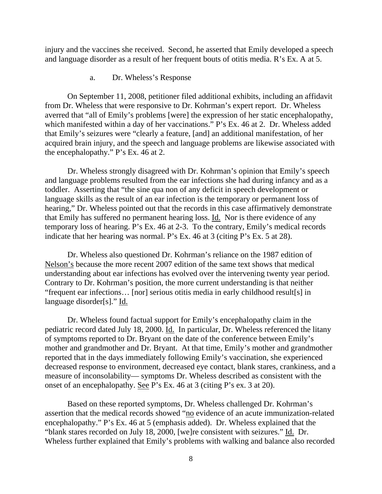injury and the vaccines she received. Second, he asserted that Emily developed a speech and language disorder as a result of her frequent bouts of otitis media. R's Ex. A at 5.

a. Dr. Wheless's Response

 On September 11, 2008, petitioner filed additional exhibits, including an affidavit from Dr. Wheless that were responsive to Dr. Kohrman's expert report. Dr. Wheless averred that "all of Emily's problems [were] the expression of her static encephalopathy, which manifested within a day of her vaccinations." P's Ex. 46 at 2. Dr. Wheless added that Emily's seizures were "clearly a feature, [and] an additional manifestation, of her acquired brain injury, and the speech and language problems are likewise associated with the encephalopathy." P's Ex. 46 at 2.

 Dr. Wheless strongly disagreed with Dr. Kohrman's opinion that Emily's speech and language problems resulted from the ear infections she had during infancy and as a toddler. Asserting that "the sine qua non of any deficit in speech development or language skills as the result of an ear infection is the temporary or permanent loss of hearing," Dr. Wheless pointed out that the records in this case affirmatively demonstrate that Emily has suffered no permanent hearing loss. Id. Nor is there evidence of any temporary loss of hearing. P's Ex. 46 at 2-3. To the contrary, Emily's medical records indicate that her hearing was normal. P's Ex. 46 at 3 (citing P's Ex. 5 at 28).

 Dr. Wheless also questioned Dr. Kohrman's reliance on the 1987 edition of Nelson's because the more recent 2007 edition of the same text shows that medical understanding about ear infections has evolved over the intervening twenty year period. Contrary to Dr. Kohrman's position, the more current understanding is that neither "frequent ear infections… [nor] serious otitis media in early childhood result[s] in language disorder[s]." Id.

Dr. Wheless found factual support for Emily's encephalopathy claim in the pediatric record dated July 18, 2000. Id. In particular, Dr. Wheless referenced the litany of symptoms reported to Dr. Bryant on the date of the conference between Emily's mother and grandmother and Dr. Bryant. At that time, Emily's mother and grandmother reported that in the days immediately following Emily's vaccination, she experienced decreased response to environment, decreased eye contact, blank stares, crankiness, and a measure of inconsolability— symptoms Dr. Wheless described as consistent with the onset of an encephalopathy. See P's Ex. 46 at 3 (citing P's ex. 3 at 20).

 Based on these reported symptoms, Dr. Wheless challenged Dr. Kohrman's assertion that the medical records showed "no evidence of an acute immunization-related encephalopathy." P's Ex. 46 at 5 (emphasis added). Dr. Wheless explained that the "blank stares recorded on July 18, 2000, [we]re consistent with seizures." Id. Dr. Wheless further explained that Emily's problems with walking and balance also recorded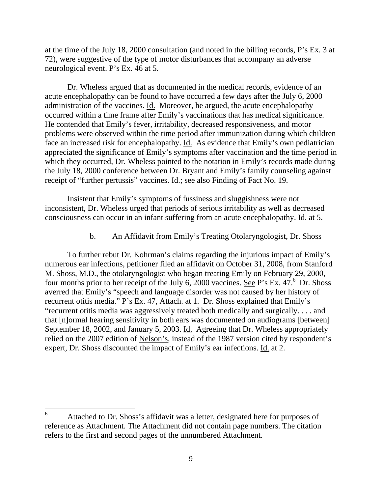at the time of the July 18, 2000 consultation (and noted in the billing records, P's Ex. 3 at 72), were suggestive of the type of motor disturbances that accompany an adverse neurological event. P's Ex. 46 at 5.

Dr. Wheless argued that as documented in the medical records, evidence of an acute encephalopathy can be found to have occurred a few days after the July 6, 2000 administration of the vaccines. Id. Moreover, he argued, the acute encephalopathy occurred within a time frame after Emily's vaccinations that has medical significance. He contended that Emily's fever, irritability, decreased responsiveness, and motor problems were observed within the time period after immunization during which children face an increased risk for encephalopathy. Id. As evidence that Emily's own pediatrician appreciated the significance of Emily's symptoms after vaccination and the time period in which they occurred, Dr. Wheless pointed to the notation in Emily's records made during the July 18, 2000 conference between Dr. Bryant and Emily's family counseling against receipt of "further pertussis" vaccines. <u>Id.; see also</u> Finding of Fact No. 19.

Insistent that Emily's symptoms of fussiness and sluggishness were not inconsistent, Dr. Wheless urged that periods of serious irritability as well as decreased consciousness can occur in an infant suffering from an acute encephalopathy. Id. at 5.

b. An Affidavit from Emily's Treating Otolaryngologist, Dr. Shoss

To further rebut Dr. Kohrman's claims regarding the injurious impact of Emily's numerous ear infections, petitioner filed an affidavit on October 31, 2008, from Stanford M. Shoss, M.D., the otolaryngologist who began treating Emily on February 29, 2000, four months prior to her receipt of the July 6, 2000 vaccines. See P's Ex. 47.<sup>6</sup> Dr. Shoss averred that Emily's "speech and language disorder was not caused by her history of recurrent otitis media." P's Ex. 47, Attach. at 1. Dr. Shoss explained that Emily's "recurrent otitis media was aggressively treated both medically and surgically. . . . and that [n]ormal hearing sensitivity in both ears was documented on audiograms [between] September 18, 2002, and January 5, 2003. Id. Agreeing that Dr. Wheless appropriately relied on the 2007 edition of Nelson's, instead of the 1987 version cited by respondent's expert, Dr. Shoss discounted the impact of Emily's ear infections. Id. at 2.

 $\overline{a}$ 

<sup>6</sup> Attached to Dr. Shoss's affidavit was a letter, designated here for purposes of reference as Attachment. The Attachment did not contain page numbers. The citation refers to the first and second pages of the unnumbered Attachment.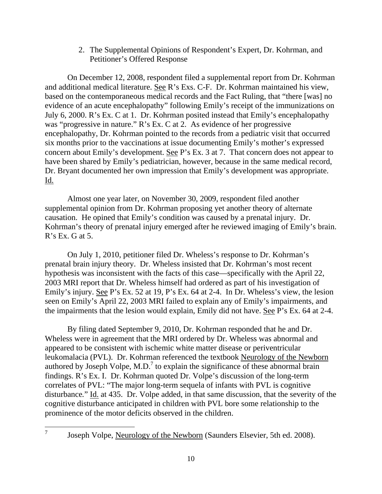2. The Supplemental Opinions of Respondent's Expert, Dr. Kohrman, and Petitioner's Offered Response

On December 12, 2008, respondent filed a supplemental report from Dr. Kohrman and additional medical literature. See R's Exs. C-F. Dr. Kohrman maintained his view, based on the contemporaneous medical records and the Fact Ruling, that "there [was] no evidence of an acute encephalopathy" following Emily's receipt of the immunizations on July 6, 2000. R's Ex. C at 1. Dr. Kohrman posited instead that Emily's encephalopathy was "progressive in nature." R's Ex. C at 2. As evidence of her progressive encephalopathy, Dr. Kohrman pointed to the records from a pediatric visit that occurred six months prior to the vaccinations at issue documenting Emily's mother's expressed concern about Emily's development. See P's Ex. 3 at 7. That concern does not appear to have been shared by Emily's pediatrician, however, because in the same medical record, Dr. Bryant documented her own impression that Emily's development was appropriate. Id.

Almost one year later, on November 30, 2009, respondent filed another supplemental opinion from Dr. Kohrman proposing yet another theory of alternate causation. He opined that Emily's condition was caused by a prenatal injury. Dr. Kohrman's theory of prenatal injury emerged after he reviewed imaging of Emily's brain.  $R$ 's Ex. G at 5.

On July 1, 2010, petitioner filed Dr. Wheless's response to Dr. Kohrman's prenatal brain injury theory. Dr. Wheless insisted that Dr. Kohrman's most recent hypothesis was inconsistent with the facts of this case—specifically with the April 22, 2003 MRI report that Dr. Wheless himself had ordered as part of his investigation of Emily's injury. See P's Ex. 52 at 19, P's Ex. 64 at 2-4. In Dr. Wheless's view, the lesion seen on Emily's April 22, 2003 MRI failed to explain any of Emily's impairments, and the impairments that the lesion would explain, Emily did not have. See P's Ex. 64 at 2-4.

By filing dated September 9, 2010, Dr. Kohrman responded that he and Dr. Wheless were in agreement that the MRI ordered by Dr. Wheless was abnormal and appeared to be consistent with ischemic white matter disease or periventricular leukomalacia (PVL). Dr. Kohrman referenced the textbook Neurology of the Newborn authored by Joseph Volpe, M.D.<sup>7</sup> to explain the significance of these abnormal brain findings. R's Ex. I. Dr. Kohrman quoted Dr. Volpe's discussion of the long-term correlates of PVL: "The major long-term sequela of infants with PVL is cognitive disturbance*.*" Id. at 435. Dr. Volpe added, in that same discussion, that the severity of the cognitive disturbance anticipated in children with PVL bore some relationship to the prominence of the motor deficits observed in the children.

 $\overline{a}$ 7

Joseph Volpe, Neurology of the Newborn (Saunders Elsevier, 5th ed. 2008).